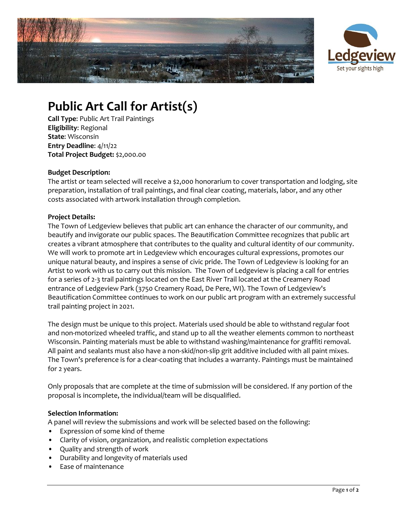



# **Public Art Call for Artist(s)**

**Call Type**: Public Art Trail Paintings **Eligibility**: Regional **State**: Wisconsin **Entry Deadline**: 4/11/22 **Total Project Budget:** \$2,000.00

#### **Budget Description:**

The artist or team selected will receive a \$2,000 honorarium to cover transportation and lodging, site preparation, installation of trail paintings, and final clear coating, materials, labor, and any other costs associated with artwork installation through completion.

### **Project Details:**

The Town of Ledgeview believes that public art can enhance the character of our community, and beautify and invigorate our public spaces. The Beautification Committee recognizes that public art creates a vibrant atmosphere that contributes to the quality and cultural identity of our community. We will work to promote art in Ledgeview which encourages cultural expressions, promotes our unique natural beauty, and inspires a sense of civic pride. The Town of Ledgeview is looking for an Artist to work with us to carry out this mission. The Town of Ledgeview is placing a call for entries for a series of 2-3 trail paintings located on the East River Trail located at the Creamery Road entrance of Ledgeview Park (3750 Creamery Road, De Pere, WI). The Town of Ledgeview's Beautification Committee continues to work on our public art program with an extremely successful trail painting project in 2021.

The design must be unique to this project. Materials used should be able to withstand regular foot and non-motorized wheeled traffic, and stand up to all the weather elements common to northeast Wisconsin. Painting materials must be able to withstand washing/maintenance for graffiti removal. All paint and sealants must also have a non-skid/non-slip grit additive included with all paint mixes. The Town's preference is for a clear-coating that includes a warranty. Paintings must be maintained for 2 years.

Only proposals that are complete at the time of submission will be considered. If any portion of the proposal is incomplete, the individual/team will be disqualified.

#### **Selection Information:**

A panel will review the submissions and work will be selected based on the following:

- Expression of some kind of theme
- Clarity of vision, organization, and realistic completion expectations
- Quality and strength of work
- Durability and longevity of materials used
- Ease of maintenance